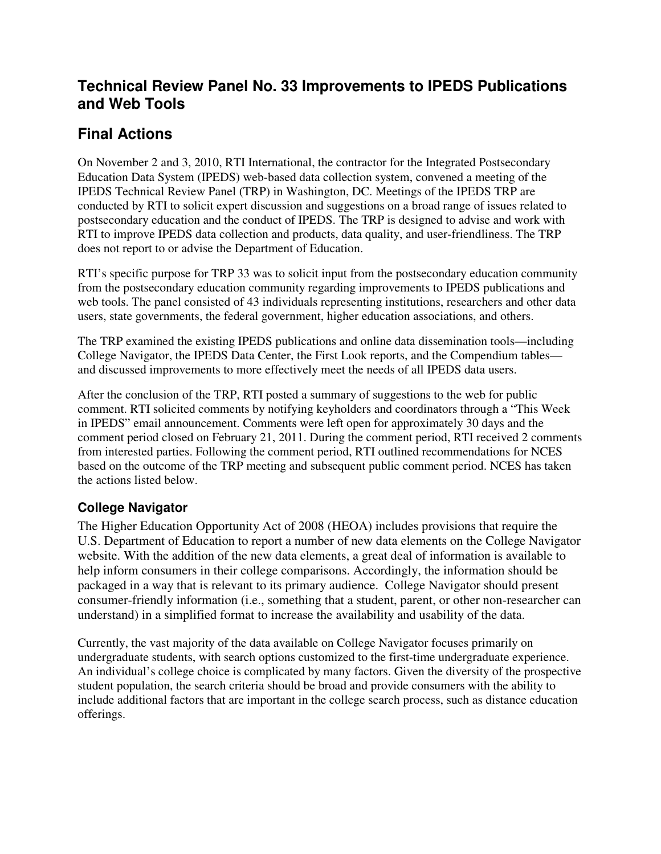# **Technical Review Panel No. 33 Improvements to IPEDS Publications and Web Tools**

# **Final Actions**

On November 2 and 3, 2010, RTI International, the contractor for the Integrated Postsecondary Education Data System (IPEDS) web-based data collection system, convened a meeting of the IPEDS Technical Review Panel (TRP) in Washington, DC. Meetings of the IPEDS TRP are conducted by RTI to solicit expert discussion and suggestions on a broad range of issues related to postsecondary education and the conduct of IPEDS. The TRP is designed to advise and work with RTI to improve IPEDS data collection and products, data quality, and user-friendliness. The TRP does not report to or advise the Department of Education.

RTI's specific purpose for TRP 33 was to solicit input from the postsecondary education community from the postsecondary education community regarding improvements to IPEDS publications and web tools. The panel consisted of 43 individuals representing institutions, researchers and other data users, state governments, the federal government, higher education associations, and others.

The TRP examined the existing IPEDS publications and online data dissemination tools—including College Navigator, the IPEDS Data Center, the First Look reports, and the Compendium tables and discussed improvements to more effectively meet the needs of all IPEDS data users.

After the conclusion of the TRP, RTI posted a summary of suggestions to the web for public comment. RTI solicited comments by notifying keyholders and coordinators through a "This Week in IPEDS" email announcement. Comments were left open for approximately 30 days and the comment period closed on February 21, 2011. During the comment period, RTI received 2 comments from interested parties. Following the comment period, RTI outlined recommendations for NCES based on the outcome of the TRP meeting and subsequent public comment period. NCES has taken the actions listed below.

## **College Navigator**

The Higher Education Opportunity Act of 2008 (HEOA) includes provisions that require the U.S. Department of Education to report a number of new data elements on the College Navigator website. With the addition of the new data elements, a great deal of information is available to help inform consumers in their college comparisons. Accordingly, the information should be packaged in a way that is relevant to its primary audience. College Navigator should present consumer-friendly information (i.e., something that a student, parent, or other non-researcher can understand) in a simplified format to increase the availability and usability of the data.

Currently, the vast majority of the data available on College Navigator focuses primarily on undergraduate students, with search options customized to the first-time undergraduate experience. An individual's college choice is complicated by many factors. Given the diversity of the prospective student population, the search criteria should be broad and provide consumers with the ability to include additional factors that are important in the college search process, such as distance education offerings.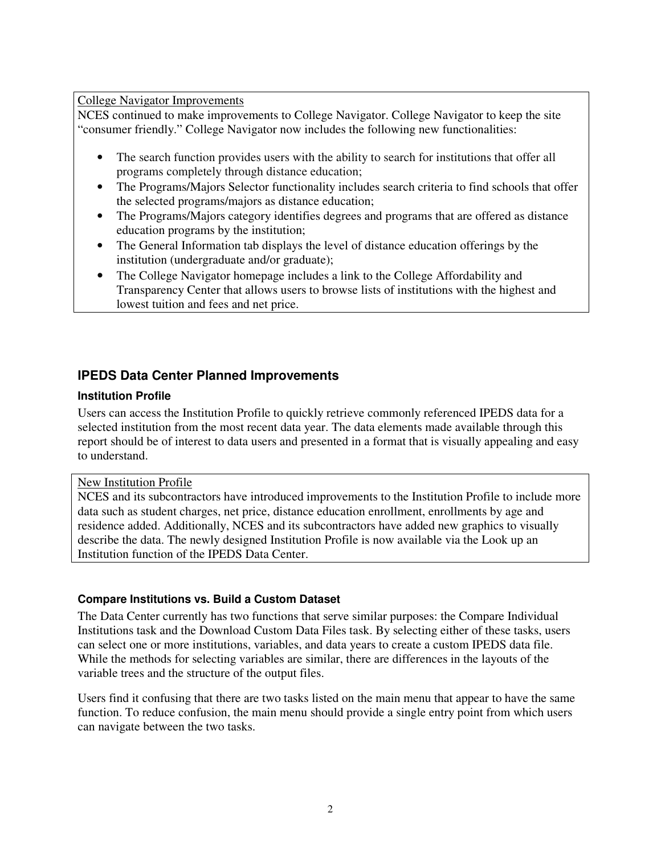College Navigator Improvements

NCES continued to make improvements to College Navigator. College Navigator to keep the site "consumer friendly." College Navigator now includes the following new functionalities:

- The search function provides users with the ability to search for institutions that offer all programs completely through distance education;
- The Programs/Majors Selector functionality includes search criteria to find schools that offer the selected programs/majors as distance education;
- The Programs/Majors category identifies degrees and programs that are offered as distance education programs by the institution;
- The General Information tab displays the level of distance education offerings by the institution (undergraduate and/or graduate);
- The College Navigator homepage includes a link to the College Affordability and Transparency Center that allows users to browse lists of institutions with the highest and lowest tuition and fees and net price.

## **IPEDS Data Center Planned Improvements**

#### **Institution Profile**

Users can access the Institution Profile to quickly retrieve commonly referenced IPEDS data for a selected institution from the most recent data year. The data elements made available through this report should be of interest to data users and presented in a format that is visually appealing and easy to understand.

#### New Institution Profile

NCES and its subcontractors have introduced improvements to the Institution Profile to include more data such as student charges, net price, distance education enrollment, enrollments by age and residence added. Additionally, NCES and its subcontractors have added new graphics to visually describe the data. The newly designed Institution Profile is now available via the Look up an Institution function of the IPEDS Data Center.

#### **Compare Institutions vs. Build a Custom Dataset**

The Data Center currently has two functions that serve similar purposes: the Compare Individual Institutions task and the Download Custom Data Files task. By selecting either of these tasks, users can select one or more institutions, variables, and data years to create a custom IPEDS data file. While the methods for selecting variables are similar, there are differences in the layouts of the variable trees and the structure of the output files.

Users find it confusing that there are two tasks listed on the main menu that appear to have the same function. To reduce confusion, the main menu should provide a single entry point from which users can navigate between the two tasks.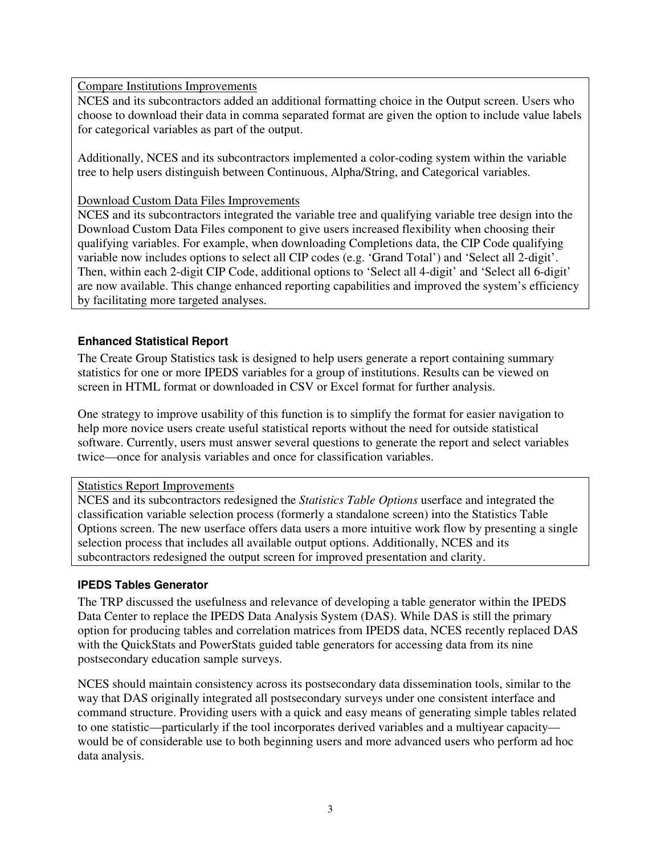#### Compare Institutions Improvements

NCES and its subcontractors added an additional formatting choice in the Output screen. Users who choose to download their data in comma separated format are given the option to include value labels for categorical variables as part of the output.

Additionally, NCES and its subcontractors implemented a color-coding system within the variable tree to help users distinguish between Continuous, Alpha/String, and Categorical variables.

#### Download Custom Data Files Improvements

NCES and its subcontractors integrated the variable tree and qualifying variable tree design into the Download Custom Data Files component to give users increased flexibility when choosing their qualifying variables. For example, when downloading Completions data, the CIP Code qualifying variable now includes options to select all CIP codes (e.g. 'Grand Total') and 'Select all 2-digit'. Then, within each 2-digit CIP Code, additional options to 'Select all 4-digit' and 'Select all 6-digit' are now available. This change enhanced reporting capabilities and improved the system's efficiency by facilitating more targeted analyses.

#### **Enhanced Statistical Report**

The Create Group Statistics task is designed to help users generate a report containing summary statistics for one or more IPEDS variables for a group of institutions. Results can be viewed on screen in HTML format or downloaded in CSV or Excel format for further analysis.

One strategy to improve usability of this function is to simplify the format for easier navigation to help more novice users create useful statistical reports without the need for outside statistical software. Currently, users must answer several questions to generate the report and select variables twice—once for analysis variables and once for classification variables.

#### Statistics Report Improvements

NCES and its subcontractors redesigned the *Statistics Table Options* userface and integrated the classification variable selection process (formerly a standalone screen) into the Statistics Table Options screen. The new userface offers data users a more intuitive work flow by presenting a single selection process that includes all available output options. Additionally, NCES and its subcontractors redesigned the output screen for improved presentation and clarity.

#### **IPEDS Tables Generator**

The TRP discussed the usefulness and relevance of developing a table generator within the IPEDS Data Center to replace the IPEDS Data Analysis System (DAS). While DAS is still the primary option for producing tables and correlation matrices from IPEDS data, NCES recently replaced DAS with the QuickStats and PowerStats guided table generators for accessing data from its nine postsecondary education sample surveys.

NCES should maintain consistency across its postsecondary data dissemination tools, similar to the way that DAS originally integrated all postsecondary surveys under one consistent interface and command structure. Providing users with a quick and easy means of generating simple tables related to one statistic—particularly if the tool incorporates derived variables and a multiyear capacity would be of considerable use to both beginning users and more advanced users who perform ad hoc data analysis.